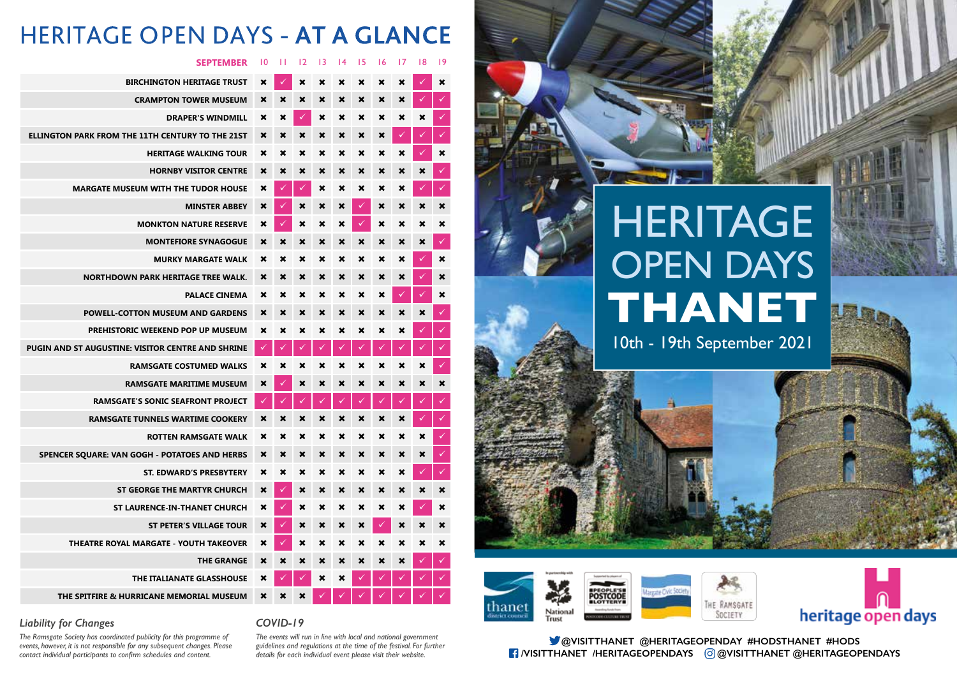# **HERITAGE** OPEN DAYS **THANET**

## 10th - 19th September 2021

## **HERITAGE OPEN DAYS - AT A GLANCE**

#### **SEPTEMBER** 10 11 12 13 14 15 16 17 18 19

| <b>BIRCHINGTON HERITAGE TRUST</b>                        | ×                         | ⊽                    | ×                         | ×                         | ×                         | ×                         | $\boldsymbol{\mathsf{x}}$ | ×                         |             | ×                         |
|----------------------------------------------------------|---------------------------|----------------------|---------------------------|---------------------------|---------------------------|---------------------------|---------------------------|---------------------------|-------------|---------------------------|
| <b>CRAMPTON TOWER MUSEUM</b>                             | ×                         | ×                    | ×                         | ×                         | ×                         | ×                         | ×                         | ×                         |             |                           |
| <b>DRAPER'S WINDMILL</b>                                 | ×                         | ×                    | $\checkmark$              | ×                         | ×                         | ×                         | $\pmb{\times}$            | ×                         | ×           | ✓                         |
| ELLINGTON PARK FROM THE 11TH CENTURY TO THE 21ST         | $\mathbf x$               | $\mathbf x$          | $\boldsymbol{\mathsf{x}}$ | ×                         | $\boldsymbol{\mathsf{x}}$ | ×                         | $\boldsymbol{\mathsf{x}}$ |                           |             | ✓                         |
| <b>HERITAGE WALKING TOUR</b>                             | ×                         | ×                    | ×                         | ×                         | ×                         | ×                         | $\boldsymbol{\mathsf{x}}$ | ×                         |             | ×                         |
| <b>HORNBY VISITOR CENTRE</b>                             | $\boldsymbol{\mathsf{x}}$ | ×                    | ×                         | ×                         | ×                         | ×                         | ×                         | ×                         | ×           | $\checkmark$              |
| <b>MARGATE MUSEUM WITH THE TUDOR HOUSE</b>               | ×                         | ✓                    | $\checkmark$              | ×                         | ×                         | ×                         | ×                         | ×                         |             | $\checkmark$              |
| <b>MINSTER ABBEY</b>                                     | $\boldsymbol{\mathsf{x}}$ | $\checkmark$         | $\boldsymbol{\mathsf{x}}$ | ×                         | ×                         | ✓                         | $\boldsymbol{\mathsf{x}}$ | ×                         | ×           | ×                         |
| <b>MONKTON NATURE RESERVE</b>                            | ×                         | ✓                    | ×                         | ×                         | ×                         | $\checkmark$              | $\boldsymbol{\mathsf{x}}$ | ×                         | ×           | ×                         |
| <b>MONTEFIORE SYNAGOGUE</b>                              | ×                         | ×                    | ×                         | ×                         | ×                         | $\boldsymbol{\mathsf{x}}$ | ×                         | ×                         | ×           | $\checkmark$              |
| <b>MURKY MARGATE WALK</b>                                | ×                         | ×                    | ×                         | ×                         | ×                         | ×                         | ×                         | ×                         |             | ×                         |
| <b>NORTHDOWN PARK HERITAGE TREE WALK.</b>                | ×                         | ×                    | ×                         | ×                         | ×                         | $\boldsymbol{\mathsf{x}}$ | ×                         | $\boldsymbol{\mathsf{x}}$ |             | ×                         |
| <b>PALACE CINEMA</b>                                     | ×                         | ×                    | ×                         | ×                         | ×                         | ×                         | ×                         | $\checkmark$              | ✓           | ×                         |
| <b>POWELL-COTTON MUSEUM AND GARDENS</b>                  | ×                         | ×                    | ×                         | ×                         | ×                         | ×                         | ×                         | $\boldsymbol{\mathsf{x}}$ | $\mathbf x$ | V                         |
| PREHISTORIC WEEKEND POP UP MUSEUM                        | ×                         | ×                    | ×                         | ×                         | ×                         | ×                         | ×                         | ×                         |             | $\checkmark$              |
| <b>PUGIN AND ST AUGUSTINE: VISITOR CENTRE AND SHRINE</b> | ✓                         | $\blacktriangledown$ | $\checkmark$              | $\checkmark$              | ✓                         | $\checkmark$              | $\checkmark$              | $\checkmark$              |             | $\checkmark$              |
| <b>RAMSGATE COSTUMED WALKS</b>                           | ×                         | ×                    | ×                         | ×                         | ×                         | ×                         | ×                         | ×                         | ×           | $\checkmark$              |
| <b>RAMSGATE MARITIME MUSEUM</b>                          | ×                         | V.                   | ×                         | $\mathbf x$               | $\mathbf x$               | $\mathbf x$               | $\mathbf x$               | $\mathbf x$               | ×           | $\boldsymbol{\mathsf{x}}$ |
| <b>RAMSGATE'S SONIC SEAFRONT PROJECT</b>                 |                           | ✓                    | ⊽                         | ✓                         | ✓                         | ✓                         | $\checkmark$              | ✓                         |             | ✓                         |
| <b>RAMSGATE TUNNELS WARTIME COOKERY</b>                  | $\boldsymbol{\mathsf{x}}$ | ×                    | ×                         | ×                         | ×                         | ×                         | ×                         | ×                         |             | $\checkmark$              |
| <b>ROTTEN RAMSGATE WALK</b>                              | ×                         | ×                    | ×                         | ×                         | ×                         | ×                         | $\pmb{\times}$            | ×                         | ×           | ✓                         |
| SPENCER SQUARE: VAN GOGH - POTATOES AND HERBS            | ×                         | ×                    | ×                         | ×                         | ×                         | $\boldsymbol{\mathsf{x}}$ | ×                         | ×                         | ×           | Ø                         |
| <b>ST. EDWARD'S PRESBYTERY</b>                           | ×                         | ×                    | ×                         | ×                         | ×                         | ×                         | ×                         | ×                         |             | $\checkmark$              |
| ST GEORGE THE MARTYR CHURCH                              | $\boldsymbol{\mathsf{x}}$ | ✓                    | ×                         | ×                         | ×                         | $\boldsymbol{\mathsf{x}}$ | ×                         | ×                         | ×           | $\boldsymbol{\mathsf{x}}$ |
| ST LAURENCE-IN-THANET CHURCH                             | $\boldsymbol{\mathsf{x}}$ |                      | ×                         | ×                         | ×                         | ×                         | ×                         | ×                         |             | ×                         |
| <b>ST PETER'S VILLAGE TOUR</b>                           | $\boldsymbol{\mathsf{x}}$ | ✓                    | $\boldsymbol{\mathsf{x}}$ | ×                         | ×                         | ×                         | $\blacktriangledown$      | ×                         | ×           | ×                         |
| THEATRE ROYAL MARGATE - YOUTH TAKEOVER                   | ×                         |                      | ×                         | ×                         | ×                         |                           | ×                         | ×                         | ×           |                           |
| <b>THE GRANGE</b>                                        | $\boldsymbol{\mathsf{x}}$ | ×                    | ×                         | ×                         | ×                         | ×                         | $\boldsymbol{\mathsf{x}}$ | ×                         |             | ✓                         |
| THE ITALIANATE GLASSHOUSE                                | ×                         |                      | $\checkmark$              | $\boldsymbol{\mathsf{x}}$ | ×                         |                           |                           |                           |             |                           |
| THE SPITFIRE & HURRICANE MEMORIAL MUSEUM                 | ×                         | ×                    | ×                         |                           |                           |                           |                           |                           |             | $\checkmark$              |

#### *Liability for Changes*

*The Ramsgate Society has coordinated publicity for this programme of events, however, it is not responsible for any subsequent changes. Please contact individual participants to confirm schedules and content.*

*COVID-19* 

*The events will run in line with local and national government guidelines and regulations at the time of the festival. For further details for each individual event please visit their website.*

**@VISITTHANET @HERITAGEOPENDAY #HODSTHANET #HODS /VISITTHANET /HERITAGEOPENDAYS @VISITTHANET @HERITAGEOPENDAYS**



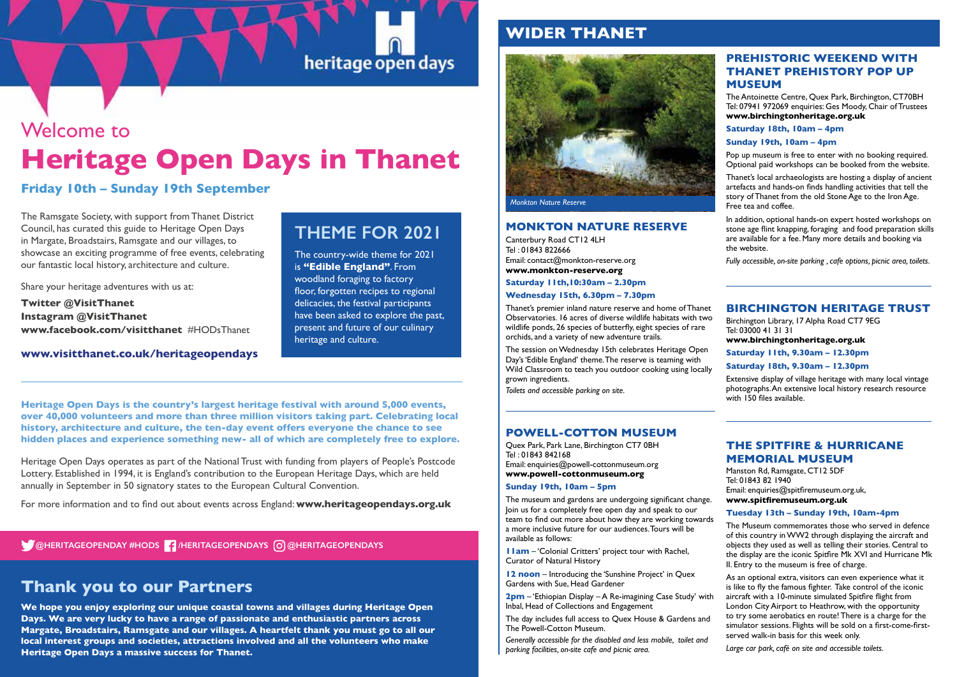## Welcome to **Heritage Open Days in Thanet**

**Friday 10th – Sunday 19th September**

The Ramsgate Society, with support from Thanet District Council, has curated this guide to Heritage Open Days in Margate, Broadstairs, Ramsgate and our villages, to showcase an exciting programme of free events, celebrating our fantastic local history, architecture and culture.

Share your heritage adventures with us at:

**Twitter @VisitThanet Instagram @VisitThanet www.facebook.com/visitthanet** #HODsThanet

#### **www.visitthanet.co.uk/heritageopendays**

## **THEME FOR 2021**

heritage open days

The country-wide theme for 2021 is **"Edible England"**. From woodland foraging to factory floor, forgotten recipes to regional delicacies, the festival participants have been asked to explore the past, present and future of our culinary heritage and culture.

**Heritage Open Days is the country's largest heritage festival with around 5,000 events, over 40,000 volunteers and more than three million visitors taking part. Celebrating local history, architecture and culture, the ten-day event offers everyone the chance to see hidden places and experience something new- all of which are completely free to explore.**

Heritage Open Days operates as part of the National Trust with funding from players of People's Postcode Lottery. Established in 1994, it is England's contribution to the European Heritage Days, which are held annually in September in 50 signatory states to the European Cultural Convention.

For more information and to find out about events across England: **www.heritageopendays.org.uk** 

#### **@HERITAGEOPENDAY #HODS | HERITAGEOPENDAYS © @HERITAGEOPENDAYS**

### **Thank you to our Partners**

**We hope you enjoy exploring our unique coastal towns and villages during Heritage Open Days. We are very lucky to have a range of passionate and enthusiastic partners across Margate, Broadstairs, Ramsgate and our villages. A heartfelt thank you must go to all our local interest groups and societies, attractions involved and all the volunteers who make Heritage Open Days a massive success for Thanet.** 

#### **WIDER THANET**



*Monkton Nature Reserve*

#### **MONKTON NATURE RESERVE**

Canterbury Road CT12 4LH Tel : 01843 822666 Email: contact@monkton-reserve.org **www.monkton-reserve.org Saturday 11th,10:30am – 2.30pm**

**Wednesday 15th, 6.30pm – 7.30pm** 

Thanet's premier inland nature reserve and home of Thanet Observatories. 16 acres of diverse wildlife habitats with two wildlife ponds, 26 species of butterfly, eight species of rare orchids, and a variety of new adventure trails.

The session on Wednesday 15th celebrates Heritage Open Day's 'Edible England' theme. The reserve is teaming with Wild Classroom to teach you outdoor cooking using locally grown ingredients.

*Toilets and accessible parking on site.* 

#### **POWELL-COTTON MUSEUM**

Quex Park, Park Lane, Birchington CT7 0BH Tel : 01843 842168 Email: enquiries@powell-cottonmuseum.org **www.powell-cottonmuseum.org**

#### **Sunday 19th, 10am – 5pm**

The museum and gardens are undergoing significant change. Join us for a completely free open day and speak to our team to find out more about how they are working towards a more inclusive future for our audiences. Tours will be available as follows:

**11am** – 'Colonial Critters' project tour with Rachel, Curator of Natural History

**12 noon** – Introducing the 'Sunshine Project' in Quex Gardens with Sue, Head Gardener

**2pm** – 'Ethiopian Display – A Re-imagining Case Study' with Inbal, Head of Collections and Engagement

The day includes full access to Quex House & Gardens and The Powell-Cotton Museum.

*Generally accessible for the disabled and less mobile, toilet and parking facilities, on-site cafe and picnic area.*

#### **PREHISTORIC WEEKEND WITH THANET PREHISTORY POP UP MUSEUM**

The Antoinette Centre, Quex Park, Birchington, CT70BH Tel: 07941 972069 enquiries: Ges Moody, Chair of Trustees **www.birchingtonheritage.org.uk** 

#### **Saturday 18th, 10am – 4pm**

**Sunday 19th, 10am – 4pm** 

Pop up museum is free to enter with no booking required. Optional paid workshops can be booked from the website.

Thanet's local archaeologists are hosting a display of ancient artefacts and hands-on finds handling activities that tell the story of Thanet from the old Stone Age to the Iron Age. Free tea and coffee.

In addition, optional hands-on expert hosted workshops on stone age flint knapping, foraging and food preparation skills are available for a fee. Many more details and booking via the website.

*Fully accessible, on-site parking , cafe options, picnic area, toilets.*

#### **BIRCHINGTON HERITAGE TRUST**

Birchington Library, 17 Alpha Road CT7 9EG Tel: 03000 41 31 31

**www.birchingtonheritage.org.uk** 

**Saturday 11th, 9.30am – 12.30pm**

**Saturday 18th, 9.30am – 12.30pm**

Extensive display of village heritage with many local vintage photographs. An extensive local history research resource with 150 files available.

#### **THE SPITFIRE & HURRICANE MEMORIAL MUSEUM**

Manston Rd, Ramsgate, CT12 5DF Tel: 01843 82 1940 Email: enquiries@spitfiremuseum.org.uk, **www.spitfiremuseum.org.uk**

#### **Tuesday 13th – Sunday 19th, 10am-4pm**

The Museum commemorates those who served in defence of this country in WW2 through displaying the aircraft and objects they used as well as telling their stories. Central to the display are the iconic Spitfire Mk XVI and Hurricane Mk II. Entry to the museum is free of charge.

As an optional extra, visitors can even experience what it is like to fly the famous fighter. Take control of the iconic aircraft with a 10-minute simulated Spitfire flight from London City Airport to Heathrow, with the opportunity to try some aerobatics en route! There is a charge for the simulator sessions. Flights will be sold on a first-come-firstserved walk-in basis for this week only.

*Large car park, café on site and accessible toilets.*